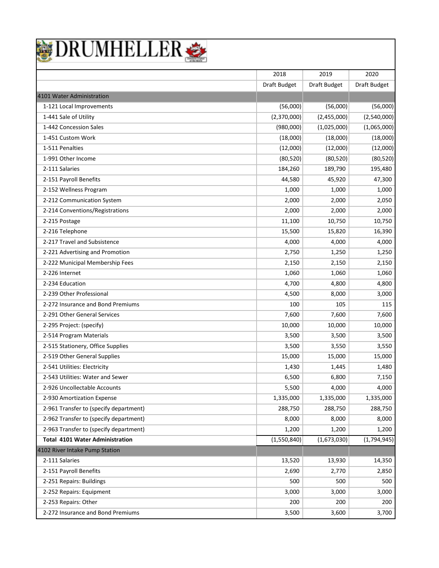

|                                        | 2018         | 2019         | 2020         |
|----------------------------------------|--------------|--------------|--------------|
|                                        | Draft Budget | Draft Budget | Draft Budget |
| 4101 Water Administration              |              |              |              |
| 1-121 Local Improvements               | (56,000)     | (56,000)     | (56,000)     |
| 1-441 Sale of Utility                  | (2,370,000)  | (2,455,000)  | (2,540,000)  |
| 1-442 Concession Sales                 | (980,000)    | (1,025,000)  | (1,065,000)  |
| 1-451 Custom Work                      | (18,000)     | (18,000)     | (18,000)     |
| 1-511 Penalties                        | (12,000)     | (12,000)     | (12,000)     |
| 1-991 Other Income                     | (80, 520)    | (80, 520)    | (80, 520)    |
| 2-111 Salaries                         | 184,260      | 189,790      | 195,480      |
| 2-151 Payroll Benefits                 | 44,580       | 45,920       | 47,300       |
| 2-152 Wellness Program                 | 1,000        | 1,000        | 1,000        |
| 2-212 Communication System             | 2,000        | 2,000        | 2,050        |
| 2-214 Conventions/Registrations        | 2,000        | 2,000        | 2,000        |
| 2-215 Postage                          | 11,100       | 10,750       | 10,750       |
| 2-216 Telephone                        | 15,500       | 15,820       | 16,390       |
| 2-217 Travel and Subsistence           | 4,000        | 4,000        | 4,000        |
| 2-221 Advertising and Promotion        | 2,750        | 1,250        | 1,250        |
| 2-222 Municipal Membership Fees        | 2,150        | 2,150        | 2,150        |
| 2-226 Internet                         | 1,060        | 1,060        | 1,060        |
| 2-234 Education                        | 4,700        | 4,800        | 4,800        |
| 2-239 Other Professional               | 4,500        | 8,000        | 3,000        |
| 2-272 Insurance and Bond Premiums      | 100          | 105          | 115          |
| 2-291 Other General Services           | 7,600        | 7,600        | 7,600        |
| 2-295 Project: (specify)               | 10,000       | 10,000       | 10,000       |
| 2-514 Program Materials                | 3,500        | 3,500        | 3,500        |
| 2-515 Stationery, Office Supplies      | 3,500        | 3,550        | 3,550        |
| 2-519 Other General Supplies           | 15,000       | 15,000       | 15,000       |
| 2-541 Utilities: Electricity           | 1,430        | 1,445        | 1,480        |
| 2-543 Utilities: Water and Sewer       | 6,500        | 6,800        | 7,150        |
| 2-926 Uncollectable Accounts           | 5,500        | 4,000        | 4,000        |
| 2-930 Amortization Expense             | 1,335,000    | 1,335,000    | 1,335,000    |
| 2-961 Transfer to (specify department) | 288,750      | 288,750      | 288,750      |
| 2-962 Transfer to (specify department) | 8,000        | 8,000        | 8,000        |
| 2-963 Transfer to (specify department) | 1,200        | 1,200        | 1,200        |
| <b>Total 4101 Water Administration</b> | (1,550,840)  | (1,673,030)  | (1,794,945)  |
| 4102 River Intake Pump Station         |              |              |              |
| 2-111 Salaries                         | 13,520       | 13,930       | 14,350       |
| 2-151 Payroll Benefits                 | 2,690        | 2,770        | 2,850        |
| 2-251 Repairs: Buildings               | 500          | 500          | 500          |
| 2-252 Repairs: Equipment               | 3,000        | 3,000        | 3,000        |
| 2-253 Repairs: Other                   | 200          | 200          | 200          |
| 2-272 Insurance and Bond Premiums      | 3,500        | 3,600        | 3,700        |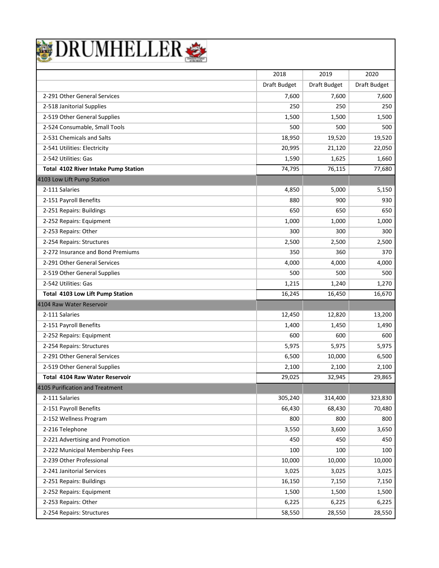

|                                       | 2018         | 2019         | 2020         |
|---------------------------------------|--------------|--------------|--------------|
|                                       | Draft Budget | Draft Budget | Draft Budget |
| 2-291 Other General Services          | 7,600        | 7,600        | 7,600        |
| 2-518 Janitorial Supplies             | 250          | 250          | 250          |
| 2-519 Other General Supplies          | 1,500        | 1,500        | 1,500        |
| 2-524 Consumable, Small Tools         | 500          | 500          | 500          |
| 2-531 Chemicals and Salts             | 18,950       | 19,520       | 19,520       |
| 2-541 Utilities: Electricity          | 20,995       | 21,120       | 22,050       |
| 2-542 Utilities: Gas                  | 1,590        | 1,625        | 1,660        |
| Total 4102 River Intake Pump Station  | 74,795       | 76,115       | 77,680       |
| 4103 Low Lift Pump Station            |              |              |              |
| 2-111 Salaries                        | 4,850        | 5,000        | 5,150        |
| 2-151 Payroll Benefits                | 880          | 900          | 930          |
| 2-251 Repairs: Buildings              | 650          | 650          | 650          |
| 2-252 Repairs: Equipment              | 1,000        | 1,000        | 1,000        |
| 2-253 Repairs: Other                  | 300          | 300          | 300          |
| 2-254 Repairs: Structures             | 2,500        | 2,500        | 2,500        |
| 2-272 Insurance and Bond Premiums     | 350          | 360          | 370          |
| 2-291 Other General Services          | 4,000        | 4,000        | 4,000        |
| 2-519 Other General Supplies          | 500          | 500          | 500          |
| 2-542 Utilities: Gas                  | 1,215        | 1,240        | 1,270        |
| Total 4103 Low Lift Pump Station      | 16,245       | 16,450       | 16,670       |
| 4104 Raw Water Reservoir              |              |              |              |
| 2-111 Salaries                        | 12,450       | 12,820       | 13,200       |
| 2-151 Payroll Benefits                | 1,400        | 1,450        | 1,490        |
| 2-252 Repairs: Equipment              | 600          | 600          | 600          |
| 2-254 Repairs: Structures             | 5,975        | 5,975        | 5,975        |
| 2-291 Other General Services          | 6,500        | 10,000       | 6,500        |
| 2-519 Other General Supplies          | 2,100        | 2,100        | 2,100        |
| <b>Total 4104 Raw Water Reservoir</b> | 29,025       | 32,945       | 29,865       |
| 4105 Purification and Treatment       |              |              |              |
| 2-111 Salaries                        | 305,240      | 314,400      | 323,830      |
| 2-151 Payroll Benefits                | 66,430       | 68,430       | 70,480       |
| 2-152 Wellness Program                | 800          | 800          | 800          |
| 2-216 Telephone                       | 3,550        | 3,600        | 3,650        |
| 2-221 Advertising and Promotion       | 450          | 450          | 450          |
| 2-222 Municipal Membership Fees       | 100          | 100          | 100          |
| 2-239 Other Professional              | 10,000       | 10,000       | 10,000       |
| 2-241 Janitorial Services             | 3,025        | 3,025        | 3,025        |
| 2-251 Repairs: Buildings              | 16,150       | 7,150        | 7,150        |
| 2-252 Repairs: Equipment              | 1,500        | 1,500        | 1,500        |
| 2-253 Repairs: Other                  | 6,225        | 6,225        | 6,225        |
| 2-254 Repairs: Structures             | 58,550       | 28,550       | 28,550       |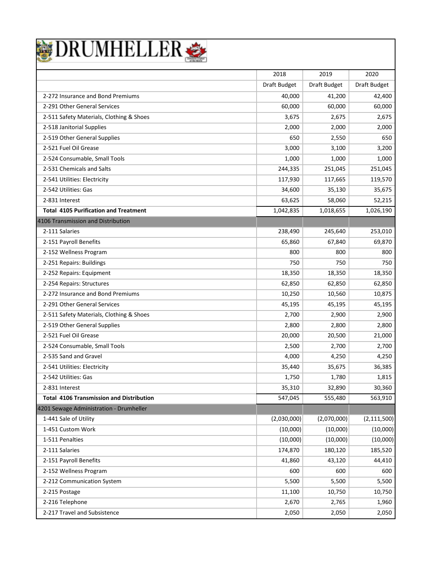

|                                                 | 2018         | 2019         | 2020          |
|-------------------------------------------------|--------------|--------------|---------------|
|                                                 | Draft Budget | Draft Budget | Draft Budget  |
| 2-272 Insurance and Bond Premiums               | 40,000       | 41,200       | 42,400        |
| 2-291 Other General Services                    | 60,000       | 60,000       | 60,000        |
| 2-511 Safety Materials, Clothing & Shoes        | 3,675        | 2,675        | 2,675         |
| 2-518 Janitorial Supplies                       | 2,000        | 2,000        | 2,000         |
| 2-519 Other General Supplies                    | 650          | 2,550        | 650           |
| 2-521 Fuel Oil Grease                           | 3,000        | 3,100        | 3,200         |
| 2-524 Consumable, Small Tools                   | 1,000        | 1,000        | 1,000         |
| 2-531 Chemicals and Salts                       | 244,335      | 251,045      | 251,045       |
| 2-541 Utilities: Electricity                    | 117,930      | 117,665      | 119,570       |
| 2-542 Utilities: Gas                            | 34,600       | 35,130       | 35,675        |
| 2-831 Interest                                  | 63,625       | 58,060       | 52,215        |
| <b>Total 4105 Purification and Treatment</b>    | 1,042,835    | 1,018,655    | 1,026,190     |
| 4106 Transmission and Distribution              |              |              |               |
| 2-111 Salaries                                  | 238,490      | 245,640      | 253,010       |
| 2-151 Payroll Benefits                          | 65,860       | 67,840       | 69,870        |
| 2-152 Wellness Program                          | 800          | 800          | 800           |
| 2-251 Repairs: Buildings                        | 750          | 750          | 750           |
| 2-252 Repairs: Equipment                        | 18,350       | 18,350       | 18,350        |
| 2-254 Repairs: Structures                       | 62,850       | 62,850       | 62,850        |
| 2-272 Insurance and Bond Premiums               | 10,250       | 10,560       | 10,875        |
| 2-291 Other General Services                    | 45,195       | 45,195       | 45,195        |
| 2-511 Safety Materials, Clothing & Shoes        | 2,700        | 2,900        | 2,900         |
| 2-519 Other General Supplies                    | 2,800        | 2,800        | 2,800         |
| 2-521 Fuel Oil Grease                           | 20,000       | 20,500       | 21,000        |
| 2-524 Consumable, Small Tools                   | 2,500        | 2,700        | 2,700         |
| 2-535 Sand and Gravel                           | 4,000        | 4,250        | 4,250         |
| 2-541 Utilities: Electricity                    | 35,440       | 35,675       | 36,385        |
| 2-542 Utilities: Gas                            | 1,750        | 1,780        | 1,815         |
| 2-831 Interest                                  | 35,310       | 32,890       | 30,360        |
| <b>Total 4106 Transmission and Distribution</b> | 547,045      | 555,480      | 563,910       |
| 4201 Sewage Administration - Drumheller         |              |              |               |
| 1-441 Sale of Utility                           | (2,030,000)  | (2,070,000)  | (2, 111, 500) |
| 1-451 Custom Work                               | (10,000)     | (10,000)     | (10,000)      |
| 1-511 Penalties                                 | (10,000)     | (10,000)     | (10,000)      |
| 2-111 Salaries                                  | 174,870      | 180,120      | 185,520       |
| 2-151 Payroll Benefits                          | 41,860       | 43,120       | 44,410        |
| 2-152 Wellness Program                          | 600          | 600          | 600           |
| 2-212 Communication System                      | 5,500        | 5,500        | 5,500         |
| 2-215 Postage                                   | 11,100       | 10,750       | 10,750        |
| 2-216 Telephone                                 | 2,670        | 2,765        | 1,960         |
| 2-217 Travel and Subsistence                    | 2,050        | 2,050        | 2,050         |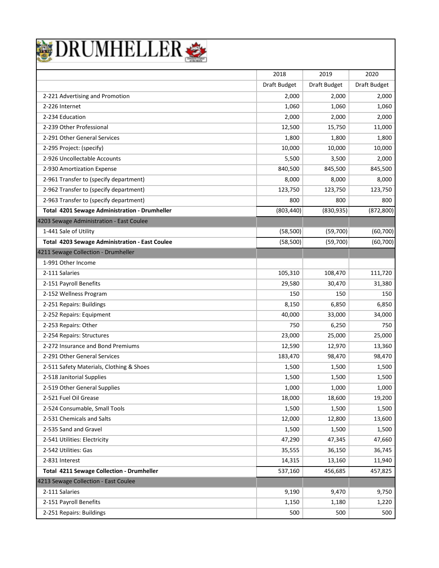

|                                                  | 2018         | 2019         | 2020         |
|--------------------------------------------------|--------------|--------------|--------------|
|                                                  | Draft Budget | Draft Budget | Draft Budget |
| 2-221 Advertising and Promotion                  | 2,000        | 2,000        | 2,000        |
| 2-226 Internet                                   | 1,060        | 1,060        | 1,060        |
| 2-234 Education                                  | 2,000        | 2,000        | 2,000        |
| 2-239 Other Professional                         | 12,500       | 15,750       | 11,000       |
| 2-291 Other General Services                     | 1,800        | 1,800        | 1,800        |
| 2-295 Project: (specify)                         | 10,000       | 10,000       | 10,000       |
| 2-926 Uncollectable Accounts                     | 5,500        | 3,500        | 2,000        |
| 2-930 Amortization Expense                       | 840,500      | 845,500      | 845,500      |
| 2-961 Transfer to (specify department)           | 8,000        | 8,000        | 8,000        |
| 2-962 Transfer to (specify department)           | 123,750      | 123,750      | 123,750      |
| 2-963 Transfer to (specify department)           | 800          | 800          | 800          |
| Total 4201 Sewage Administration - Drumheller    | (803, 440)   | (830, 935)   | (872, 800)   |
| 4203 Sewage Administration - East Coulee         |              |              |              |
| 1-441 Sale of Utility                            | (58, 500)    | (59,700)     | (60, 700)    |
| Total 4203 Sewage Administration - East Coulee   | (58, 500)    | (59,700)     | (60, 700)    |
| 4211 Sewage Collection - Drumheller              |              |              |              |
| 1-991 Other Income                               |              |              |              |
| 2-111 Salaries                                   | 105,310      | 108,470      | 111,720      |
| 2-151 Payroll Benefits                           | 29,580       | 30,470       | 31,380       |
| 2-152 Wellness Program                           | 150          | 150          | 150          |
| 2-251 Repairs: Buildings                         | 8,150        | 6,850        | 6,850        |
| 2-252 Repairs: Equipment                         | 40,000       | 33,000       | 34,000       |
| 2-253 Repairs: Other                             | 750          | 6,250        | 750          |
| 2-254 Repairs: Structures                        | 23,000       | 25,000       | 25,000       |
| 2-272 Insurance and Bond Premiums                | 12,590       | 12,970       | 13,360       |
| 2-291 Other General Services                     | 183,470      | 98,470       | 98,470       |
| 2-511 Safety Materials, Clothing & Shoes         | 1,500        | 1,500        | 1,500        |
| 2-518 Janitorial Supplies                        | 1,500        | 1,500        | 1,500        |
| 2-519 Other General Supplies                     | 1,000        | 1.000        | 1,000        |
| 2-521 Fuel Oil Grease                            | 18,000       | 18,600       | 19,200       |
| 2-524 Consumable, Small Tools                    | 1,500        | 1,500        | 1,500        |
| 2-531 Chemicals and Salts                        | 12,000       | 12,800       | 13,600       |
| 2-535 Sand and Gravel                            | 1,500        | 1,500        | 1,500        |
| 2-541 Utilities: Electricity                     | 47,290       | 47,345       | 47,660       |
| 2-542 Utilities: Gas                             | 35,555       | 36,150       | 36,745       |
| 2-831 Interest                                   | 14,315       | 13,160       | 11,940       |
| <b>Total 4211 Sewage Collection - Drumheller</b> | 537,160      | 456,685      | 457,825      |
| 4213 Sewage Collection - East Coulee             |              |              |              |
| 2-111 Salaries                                   | 9,190        | 9,470        | 9,750        |
| 2-151 Payroll Benefits                           | 1,150        | 1,180        | 1,220        |
| 2-251 Repairs: Buildings                         | 500          | 500          | 500          |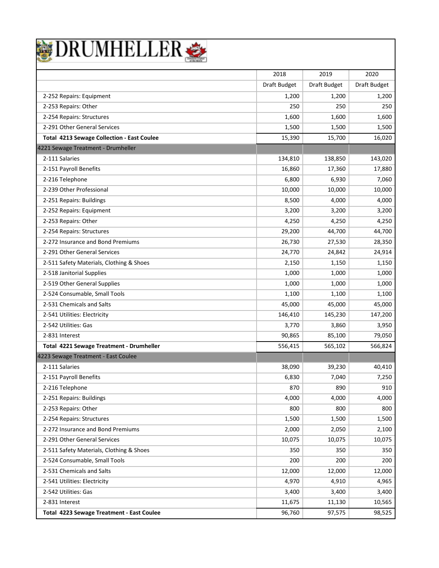|  | BRUMHELLER |  |  |
|--|------------|--|--|
|  |            |  |  |

|                                                   | 2018         | 2019         | 2020         |
|---------------------------------------------------|--------------|--------------|--------------|
|                                                   | Draft Budget | Draft Budget | Draft Budget |
| 2-252 Repairs: Equipment                          | 1,200        | 1,200        | 1,200        |
| 2-253 Repairs: Other                              | 250          | 250          | 250          |
| 2-254 Repairs: Structures                         | 1,600        | 1,600        | 1,600        |
| 2-291 Other General Services                      | 1,500        | 1,500        | 1,500        |
| <b>Total 4213 Sewage Collection - East Coulee</b> | 15,390       | 15,700       | 16,020       |
| 4221 Sewage Treatment - Drumheller                |              |              |              |
| 2-111 Salaries                                    | 134,810      | 138,850      | 143,020      |
| 2-151 Payroll Benefits                            | 16,860       | 17,360       | 17,880       |
| 2-216 Telephone                                   | 6,800        | 6,930        | 7,060        |
| 2-239 Other Professional                          | 10,000       | 10,000       | 10,000       |
| 2-251 Repairs: Buildings                          | 8,500        | 4,000        | 4,000        |
| 2-252 Repairs: Equipment                          | 3,200        | 3,200        | 3,200        |
| 2-253 Repairs: Other                              | 4,250        | 4,250        | 4,250        |
| 2-254 Repairs: Structures                         | 29,200       | 44,700       | 44,700       |
| 2-272 Insurance and Bond Premiums                 | 26,730       | 27,530       | 28,350       |
| 2-291 Other General Services                      | 24,770       | 24,842       | 24,914       |
| 2-511 Safety Materials, Clothing & Shoes          | 2,150        | 1,150        | 1,150        |
| 2-518 Janitorial Supplies                         | 1,000        | 1,000        | 1,000        |
| 2-519 Other General Supplies                      | 1,000        | 1,000        | 1,000        |
| 2-524 Consumable, Small Tools                     | 1,100        | 1,100        | 1,100        |
| 2-531 Chemicals and Salts                         | 45,000       | 45,000       | 45,000       |
| 2-541 Utilities: Electricity                      | 146,410      | 145,230      | 147,200      |
| 2-542 Utilities: Gas                              | 3,770        | 3,860        | 3,950        |
| 2-831 Interest                                    | 90,865       | 85,100       | 79,050       |
| Total 4221 Sewage Treatment - Drumheller          | 556,415      | 565,102      | 566,824      |
| 4223 Sewage Treatment - East Coulee               |              |              |              |
| 2-111 Salaries                                    | 38,090       | 39,230       | 40,410       |
| 2-151 Payroll Benefits                            | 6,830        | 7,040        | 7,250        |
| 2-216 Telephone                                   | 870          | 890          | 910          |
| 2-251 Repairs: Buildings                          | 4,000        | 4,000        | 4,000        |
| 2-253 Repairs: Other                              | 800          | 800          | 800          |
| 2-254 Repairs: Structures                         | 1,500        | 1,500        | 1,500        |
| 2-272 Insurance and Bond Premiums                 | 2,000        | 2,050        | 2,100        |
| 2-291 Other General Services                      | 10,075       | 10,075       | 10,075       |
| 2-511 Safety Materials, Clothing & Shoes          | 350          | 350          | 350          |
| 2-524 Consumable, Small Tools                     | 200          | 200          | 200          |
| 2-531 Chemicals and Salts                         | 12,000       | 12,000       | 12,000       |
| 2-541 Utilities: Electricity                      | 4,970        | 4,910        | 4,965        |
| 2-542 Utilities: Gas                              | 3,400        | 3,400        | 3,400        |
| 2-831 Interest                                    | 11,675       | 11,130       | 10,565       |
| <b>Total 4223 Sewage Treatment - East Coulee</b>  | 96,760       | 97,575       | 98,525       |